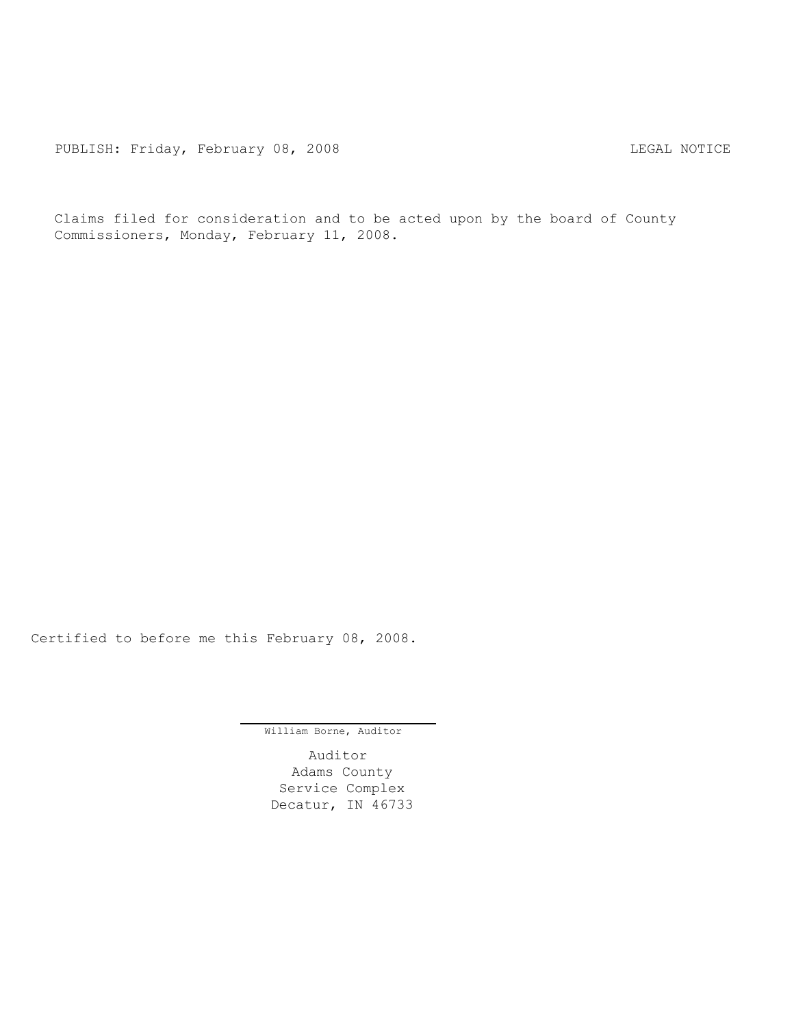Claims filed for consideration and to be acted upon by the board of County Commissioners, Monday, February 11, 2008.

Certified to before me this February 08, 2008.

William Borne, Auditor

Auditor Adams County Service Complex Decatur, IN 46733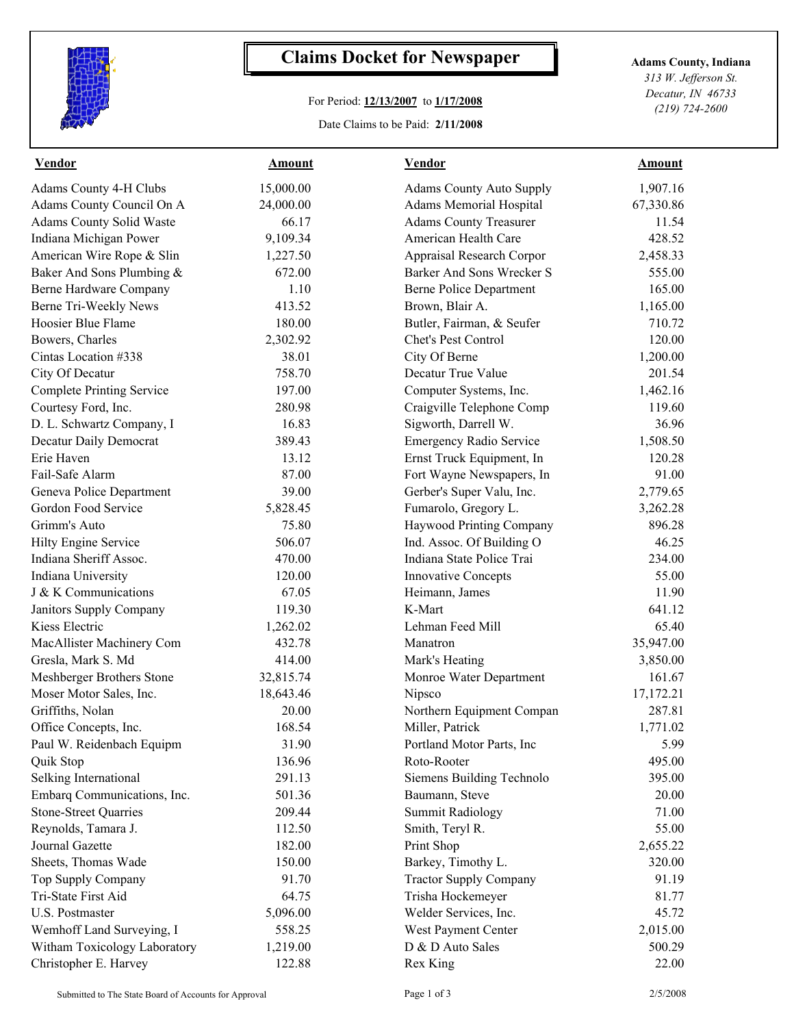

## **Claims Docket for Newspaper Adams County, Indiana**

## For Period: **12/13/2007** to **1/17/2008**

Date Claims to be Paid: **2/11/2008**

*313 W. Jefferson St. Decatur, IN 46733 (219) 724-2600*

| <b>Vendor</b>                    | <b>Amount</b> | <b>Vendor</b>                   | <b>Amount</b> |  |
|----------------------------------|---------------|---------------------------------|---------------|--|
| Adams County 4-H Clubs           | 15,000.00     | <b>Adams County Auto Supply</b> | 1,907.16      |  |
| Adams County Council On A        | 24,000.00     | <b>Adams Memorial Hospital</b>  | 67,330.86     |  |
| <b>Adams County Solid Waste</b>  | 66.17         | <b>Adams County Treasurer</b>   | 11.54         |  |
| Indiana Michigan Power           | 9,109.34      | American Health Care            | 428.52        |  |
| American Wire Rope & Slin        | 1,227.50      | Appraisal Research Corpor       | 2,458.33      |  |
| Baker And Sons Plumbing &        | 672.00        | Barker And Sons Wrecker S       | 555.00        |  |
| Berne Hardware Company           | 1.10          | <b>Berne Police Department</b>  | 165.00        |  |
| Berne Tri-Weekly News            | 413.52        | Brown, Blair A.                 | 1,165.00      |  |
| Hoosier Blue Flame               | 180.00        | Butler, Fairman, & Seufer       | 710.72        |  |
| Bowers, Charles                  | 2,302.92      | Chet's Pest Control             | 120.00        |  |
| Cintas Location #338             | 38.01         | City Of Berne                   | 1,200.00      |  |
| City Of Decatur                  | 758.70        | Decatur True Value              | 201.54        |  |
| <b>Complete Printing Service</b> | 197.00        | Computer Systems, Inc.          | 1,462.16      |  |
| Courtesy Ford, Inc.              | 280.98        | Craigville Telephone Comp       | 119.60        |  |
| D. L. Schwartz Company, I        | 16.83         | Sigworth, Darrell W.            | 36.96         |  |
| Decatur Daily Democrat           | 389.43        | <b>Emergency Radio Service</b>  | 1,508.50      |  |
| Erie Haven                       | 13.12         | Ernst Truck Equipment, In       | 120.28        |  |
| Fail-Safe Alarm                  | 87.00         | Fort Wayne Newspapers, In       | 91.00         |  |
| Geneva Police Department         | 39.00         | Gerber's Super Valu, Inc.       | 2,779.65      |  |
| Gordon Food Service              | 5,828.45      | Fumarolo, Gregory L.            | 3,262.28      |  |
| Grimm's Auto                     | 75.80         | Haywood Printing Company        | 896.28        |  |
| Hilty Engine Service             | 506.07        | Ind. Assoc. Of Building O       | 46.25         |  |
| Indiana Sheriff Assoc.           | 470.00        | Indiana State Police Trai       | 234.00        |  |
| Indiana University               | 120.00        | <b>Innovative Concepts</b>      | 55.00         |  |
| J & K Communications             | 67.05         | Heimann, James                  | 11.90         |  |
| Janitors Supply Company          | 119.30        | K-Mart                          | 641.12        |  |
| Kiess Electric                   | 1,262.02      | Lehman Feed Mill                | 65.40         |  |
| MacAllister Machinery Com        | 432.78        | Manatron                        | 35,947.00     |  |
| Gresla, Mark S. Md               | 414.00        | Mark's Heating                  | 3,850.00      |  |
| Meshberger Brothers Stone        | 32,815.74     | Monroe Water Department         | 161.67        |  |
| Moser Motor Sales, Inc.          | 18,643.46     | Nipsco                          | 17,172.21     |  |
| Griffiths, Nolan                 | 20.00         | Northern Equipment Compan       | 287.81        |  |
| Office Concepts, Inc.            | 168.54        | Miller, Patrick                 | 1,771.02      |  |
| Paul W. Reidenbach Equipm        | 31.90         | Portland Motor Parts, Inc.      | 5.99          |  |
| Quik Stop                        | 136.96        | Roto-Rooter                     | 495.00        |  |
| Selking International            | 291.13        | Siemens Building Technolo       | 395.00        |  |
| Embarq Communications, Inc.      | 501.36        | Baumann, Steve                  | 20.00         |  |
| <b>Stone-Street Quarries</b>     | 209.44        | <b>Summit Radiology</b>         | 71.00         |  |
| Reynolds, Tamara J.              | 112.50        | Smith, Teryl R.                 | 55.00         |  |
| Journal Gazette                  | 182.00        | Print Shop                      | 2,655.22      |  |
| Sheets, Thomas Wade              | 150.00        | Barkey, Timothy L.              | 320.00        |  |
| Top Supply Company               | 91.70         | <b>Tractor Supply Company</b>   | 91.19         |  |
| Tri-State First Aid              | 64.75         | Trisha Hockemeyer               | 81.77         |  |
| U.S. Postmaster                  | 5,096.00      | Welder Services, Inc.           | 45.72         |  |
| Wemhoff Land Surveying, I        | 558.25        | West Payment Center             | 2,015.00      |  |
| Witham Toxicology Laboratory     | 1,219.00      | D & D Auto Sales                | 500.29        |  |
| Christopher E. Harvey            | 122.88        | Rex King                        | 22.00         |  |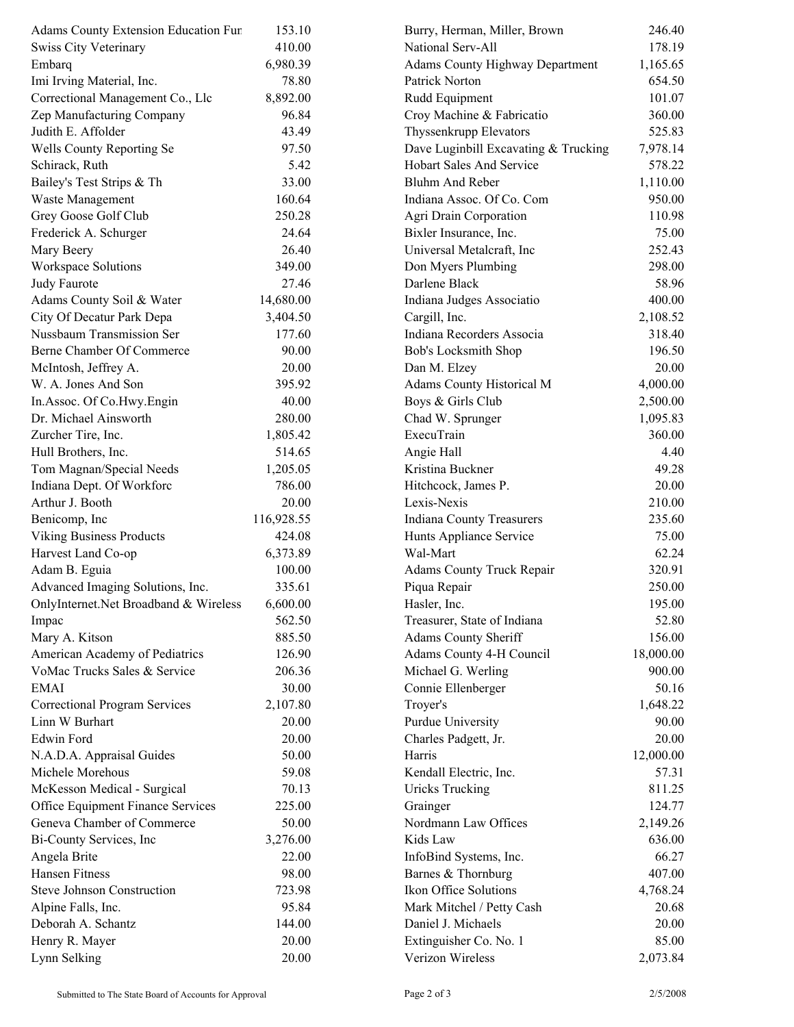| Adams County Extension Education Fur  | 153.10     | Burry, Herman, Miller, Brown           | 246.40    |  |
|---------------------------------------|------------|----------------------------------------|-----------|--|
| <b>Swiss City Veterinary</b>          | 410.00     | National Serv-All                      | 178.19    |  |
| Embarq                                | 6,980.39   | <b>Adams County Highway Department</b> | 1,165.65  |  |
| Imi Irving Material, Inc.             | 78.80      | Patrick Norton                         | 654.50    |  |
| Correctional Management Co., Llc      | 8,892.00   | Rudd Equipment                         | 101.07    |  |
| Zep Manufacturing Company             | 96.84      | Croy Machine & Fabricatio              | 360.00    |  |
| Judith E. Affolder                    | 43.49      | Thyssenkrupp Elevators                 | 525.83    |  |
| Wells County Reporting Se             | 97.50      | Dave Luginbill Excavating & Trucking   | 7,978.14  |  |
| Schirack, Ruth                        | 5.42       | Hobart Sales And Service               | 578.22    |  |
| Bailey's Test Strips & Th             | 33.00      | Bluhm And Reber                        | 1,110.00  |  |
| Waste Management                      | 160.64     | Indiana Assoc. Of Co. Com              | 950.00    |  |
| Grey Goose Golf Club                  | 250.28     | Agri Drain Corporation                 | 110.98    |  |
| Frederick A. Schurger                 | 24.64      | Bixler Insurance, Inc.                 | 75.00     |  |
| Mary Beery                            | 26.40      | Universal Metalcraft, Inc              | 252.43    |  |
| Workspace Solutions                   | 349.00     | Don Myers Plumbing                     | 298.00    |  |
| Judy Faurote                          | 27.46      | Darlene Black                          | 58.96     |  |
| Adams County Soil & Water             | 14,680.00  | Indiana Judges Associatio              | 400.00    |  |
| City Of Decatur Park Depa             | 3,404.50   | Cargill, Inc.                          | 2,108.52  |  |
| Nussbaum Transmission Ser             | 177.60     | Indiana Recorders Associa              | 318.40    |  |
| Berne Chamber Of Commerce             | 90.00      | Bob's Locksmith Shop                   | 196.50    |  |
| McIntosh, Jeffrey A.                  | 20.00      | Dan M. Elzey                           | 20.00     |  |
| W. A. Jones And Son                   | 395.92     | Adams County Historical M              | 4,000.00  |  |
| In Assoc. Of Co. Hwy. Engin           | 40.00      | Boys & Girls Club                      | 2,500.00  |  |
| Dr. Michael Ainsworth                 | 280.00     | Chad W. Sprunger                       | 1,095.83  |  |
| Zurcher Tire, Inc.                    | 1,805.42   | ExecuTrain                             | 360.00    |  |
| Hull Brothers, Inc.                   | 514.65     | Angie Hall                             | 4.40      |  |
| Tom Magnan/Special Needs              | 1,205.05   | Kristina Buckner                       | 49.28     |  |
|                                       | 786.00     |                                        | 20.00     |  |
| Indiana Dept. Of Workforc             |            | Hitchcock, James P.                    |           |  |
| Arthur J. Booth                       | 20.00      | Lexis-Nexis                            | 210.00    |  |
| Benicomp, Inc                         | 116,928.55 | <b>Indiana County Treasurers</b>       | 235.60    |  |
| <b>Viking Business Products</b>       | 424.08     | Hunts Appliance Service                | 75.00     |  |
| Harvest Land Co-op                    | 6,373.89   | Wal-Mart                               | 62.24     |  |
| Adam B. Eguia                         | 100.00     | <b>Adams County Truck Repair</b>       | 320.91    |  |
| Advanced Imaging Solutions, Inc.      | 335.61     | Piqua Repair                           | 250.00    |  |
| OnlyInternet.Net Broadband & Wireless | 6,600.00   | Hasler, Inc.                           | 195.00    |  |
| Impac                                 | 562.50     | Treasurer, State of Indiana            | 52.80     |  |
| Mary A. Kitson                        | 885.50     | Adams County Sheriff                   | 156.00    |  |
| American Academy of Pediatrics        | 126.90     | Adams County 4-H Council               | 18,000.00 |  |
| VoMac Trucks Sales & Service          | 206.36     | Michael G. Werling                     | 900.00    |  |
| <b>EMAI</b>                           | 30.00      | Connie Ellenberger                     | 50.16     |  |
| <b>Correctional Program Services</b>  | 2,107.80   | Troyer's                               | 1,648.22  |  |
| Linn W Burhart                        | 20.00      | Purdue University                      | 90.00     |  |
| <b>Edwin Ford</b>                     | 20.00      | Charles Padgett, Jr.                   | 20.00     |  |
| N.A.D.A. Appraisal Guides             | 50.00      | Harris                                 | 12,000.00 |  |
| Michele Morehous                      | 59.08      | Kendall Electric, Inc.                 | 57.31     |  |
| McKesson Medical - Surgical           | 70.13      | <b>Uricks Trucking</b>                 | 811.25    |  |
| Office Equipment Finance Services     | 225.00     | Grainger                               | 124.77    |  |
| Geneva Chamber of Commerce            | 50.00      | Nordmann Law Offices                   | 2,149.26  |  |
| Bi-County Services, Inc.              | 3,276.00   | Kids Law                               | 636.00    |  |
| Angela Brite                          | 22.00      | InfoBind Systems, Inc.                 | 66.27     |  |
| <b>Hansen Fitness</b>                 | 98.00      | Barnes & Thornburg                     | 407.00    |  |
| <b>Steve Johnson Construction</b>     | 723.98     | Ikon Office Solutions                  | 4,768.24  |  |
| Alpine Falls, Inc.                    | 95.84      | Mark Mitchel / Petty Cash              | 20.68     |  |
| Deborah A. Schantz                    | 144.00     | Daniel J. Michaels                     | 20.00     |  |
| Henry R. Mayer                        | 20.00      | Extinguisher Co. No. 1                 | 85.00     |  |
| Lynn Selking                          | 20.00      | Verizon Wireless                       | 2,073.84  |  |